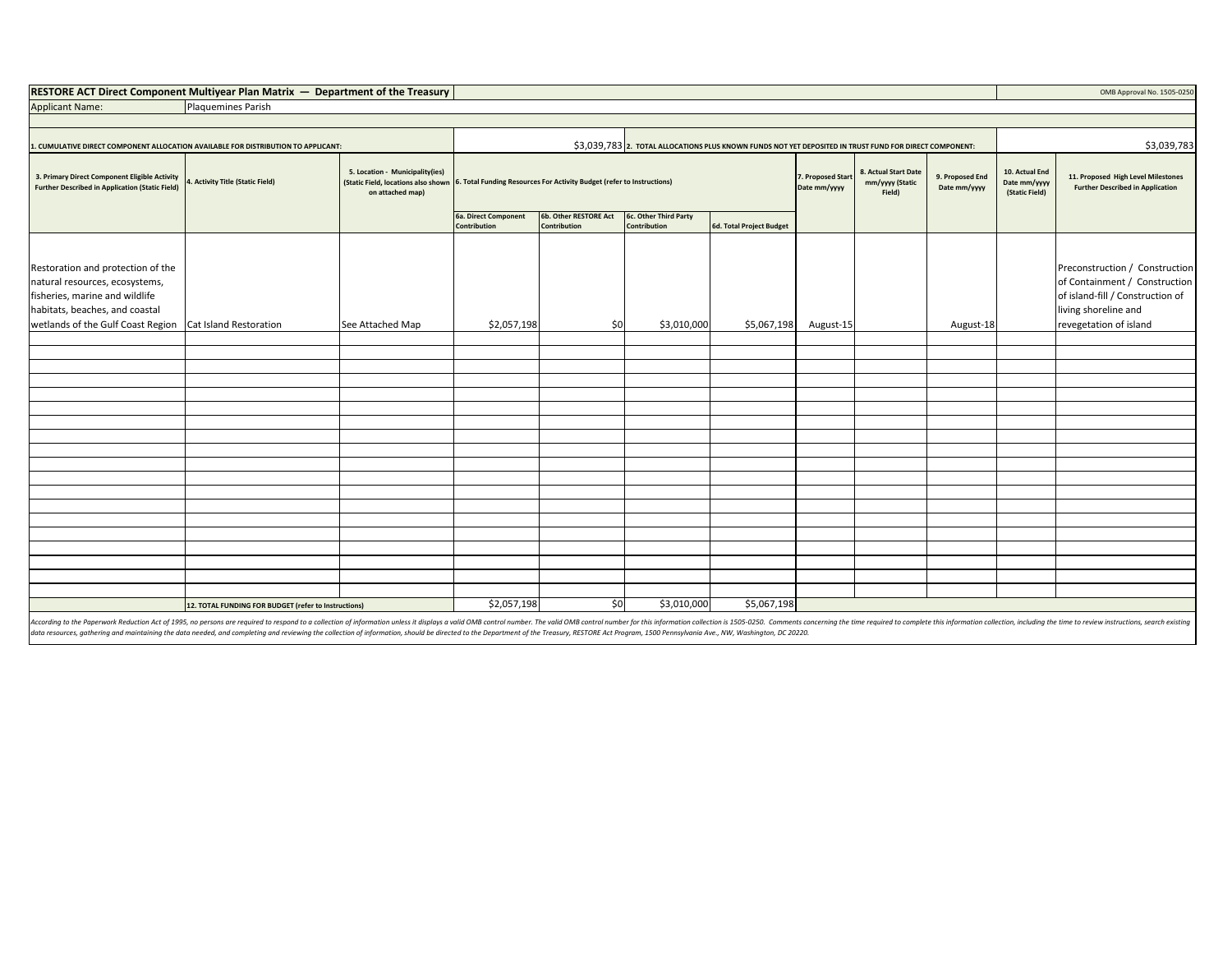| <b>RESTORE ACT Direct Component Multivear Plan Matrix — Department of the Treasury  </b> |  |  | OMB Approval No. 1505-0250 |
|------------------------------------------------------------------------------------------|--|--|----------------------------|
|------------------------------------------------------------------------------------------|--|--|----------------------------|

| <b>Applicant Name:</b> | Plaquemines Parish |
|------------------------|--------------------|

| CUMULATIVE DIRECT COMPONENT ALLOCATION AVAILABLE FOR DISTRIBUTION TO APPLICANT:                         |                                                      | \$3,039,783 2. TOTAL ALLOCATIONS PLUS KNOWN FUNDS NOT YET DEPOSITED IN TRUST FUND FOR DIRECT COMPONENT: |                                                                                                            |                                              |                                       |                                   |                                                   |                                 | \$3,039,783                                      |                                                                               |                                                                                           |
|---------------------------------------------------------------------------------------------------------|------------------------------------------------------|---------------------------------------------------------------------------------------------------------|------------------------------------------------------------------------------------------------------------|----------------------------------------------|---------------------------------------|-----------------------------------|---------------------------------------------------|---------------------------------|--------------------------------------------------|-------------------------------------------------------------------------------|-------------------------------------------------------------------------------------------|
| 3. Primary Direct Component Eligible Activity<br><b>Further Described in Application (Static Field)</b> | 4. Activity Title (Static Field)                     | 5. Location - Municipality(ies)<br>on attached map)                                                     | (Static Field, locations also shown 6. Total Funding Resources For Activity Budget (refer to Instructions) |                                              |                                       | 7. Proposed Start<br>Date mm/yyyy | 8. Actual Start Date<br>mm/yyyy (Static<br>Field) | 9. Proposed End<br>Date mm/yyyy | 10. Actual End<br>Date mm/yyyy<br>(Static Field) | 11. Proposed High Level Milestones<br><b>Further Described in Application</b> |                                                                                           |
|                                                                                                         |                                                      |                                                                                                         | 6a. Direct Component<br>Contribution                                                                       | <b>6b. Other RESTORE Act</b><br>Contribution | 6c. Other Third Party<br>Contribution | 6d. Total Project Budget          |                                                   |                                 |                                                  |                                                                               |                                                                                           |
| Restoration and protection of the                                                                       |                                                      |                                                                                                         |                                                                                                            |                                              |                                       |                                   |                                                   |                                 |                                                  |                                                                               | Preconstruction / Construction                                                            |
| natural resources, ecosystems,<br>fisheries, marine and wildlife<br>habitats, beaches, and coastal      |                                                      |                                                                                                         |                                                                                                            |                                              |                                       |                                   |                                                   |                                 |                                                  |                                                                               | of Containment / Construction<br>of island-fill / Construction of<br>living shoreline and |
| wetlands of the Gulf Coast Region Cat Island Restoration                                                |                                                      | See Attached Map                                                                                        | \$2,057,198                                                                                                | \$0                                          | \$3,010,000                           | \$5,067,198                       | August-15                                         |                                 | August-18                                        |                                                                               | revegetation of island                                                                    |
|                                                                                                         |                                                      |                                                                                                         |                                                                                                            |                                              |                                       |                                   |                                                   |                                 |                                                  |                                                                               |                                                                                           |
|                                                                                                         |                                                      |                                                                                                         |                                                                                                            |                                              |                                       |                                   |                                                   |                                 |                                                  |                                                                               |                                                                                           |
|                                                                                                         |                                                      |                                                                                                         |                                                                                                            |                                              |                                       |                                   |                                                   |                                 |                                                  |                                                                               |                                                                                           |
|                                                                                                         |                                                      |                                                                                                         |                                                                                                            |                                              |                                       |                                   |                                                   |                                 |                                                  |                                                                               |                                                                                           |
|                                                                                                         |                                                      |                                                                                                         |                                                                                                            |                                              |                                       |                                   |                                                   |                                 |                                                  |                                                                               |                                                                                           |
|                                                                                                         |                                                      |                                                                                                         |                                                                                                            |                                              |                                       |                                   |                                                   |                                 |                                                  |                                                                               |                                                                                           |
|                                                                                                         |                                                      |                                                                                                         |                                                                                                            |                                              |                                       |                                   |                                                   |                                 |                                                  |                                                                               |                                                                                           |
|                                                                                                         |                                                      |                                                                                                         |                                                                                                            |                                              |                                       |                                   |                                                   |                                 |                                                  |                                                                               |                                                                                           |
|                                                                                                         |                                                      |                                                                                                         |                                                                                                            |                                              |                                       |                                   |                                                   |                                 |                                                  |                                                                               |                                                                                           |
|                                                                                                         |                                                      |                                                                                                         |                                                                                                            |                                              |                                       |                                   |                                                   |                                 |                                                  |                                                                               |                                                                                           |
|                                                                                                         |                                                      |                                                                                                         |                                                                                                            |                                              |                                       |                                   |                                                   |                                 |                                                  |                                                                               |                                                                                           |
|                                                                                                         |                                                      |                                                                                                         |                                                                                                            |                                              |                                       |                                   |                                                   |                                 |                                                  |                                                                               |                                                                                           |
|                                                                                                         |                                                      |                                                                                                         |                                                                                                            |                                              |                                       |                                   |                                                   |                                 |                                                  |                                                                               |                                                                                           |
|                                                                                                         |                                                      |                                                                                                         |                                                                                                            |                                              |                                       |                                   |                                                   |                                 |                                                  |                                                                               |                                                                                           |
|                                                                                                         |                                                      |                                                                                                         |                                                                                                            |                                              |                                       |                                   |                                                   |                                 |                                                  |                                                                               |                                                                                           |
|                                                                                                         |                                                      |                                                                                                         |                                                                                                            |                                              |                                       |                                   |                                                   |                                 |                                                  |                                                                               |                                                                                           |
|                                                                                                         |                                                      |                                                                                                         |                                                                                                            |                                              |                                       |                                   |                                                   |                                 |                                                  |                                                                               |                                                                                           |
|                                                                                                         |                                                      |                                                                                                         |                                                                                                            |                                              |                                       |                                   |                                                   |                                 |                                                  |                                                                               |                                                                                           |
|                                                                                                         | 12. TOTAL FUNDING FOR BUDGET (refer to Instructions) |                                                                                                         | \$2,057,198                                                                                                | \$0                                          | \$3,010,000                           | \$5,067,198                       |                                                   |                                 |                                                  |                                                                               |                                                                                           |

According to the Paperwork Reduction Act of 1995, no persons are required to respond to a collection of information unless it displays a valid OMB control number. The valid OMB control number for this information collectio data resources, gathering and maintaining the data needed, and completing and reviewing the collection of information, should be directed to the Department of the Treasury, RESTORE Act Program, 1500 Pennsylvania Ave., NW,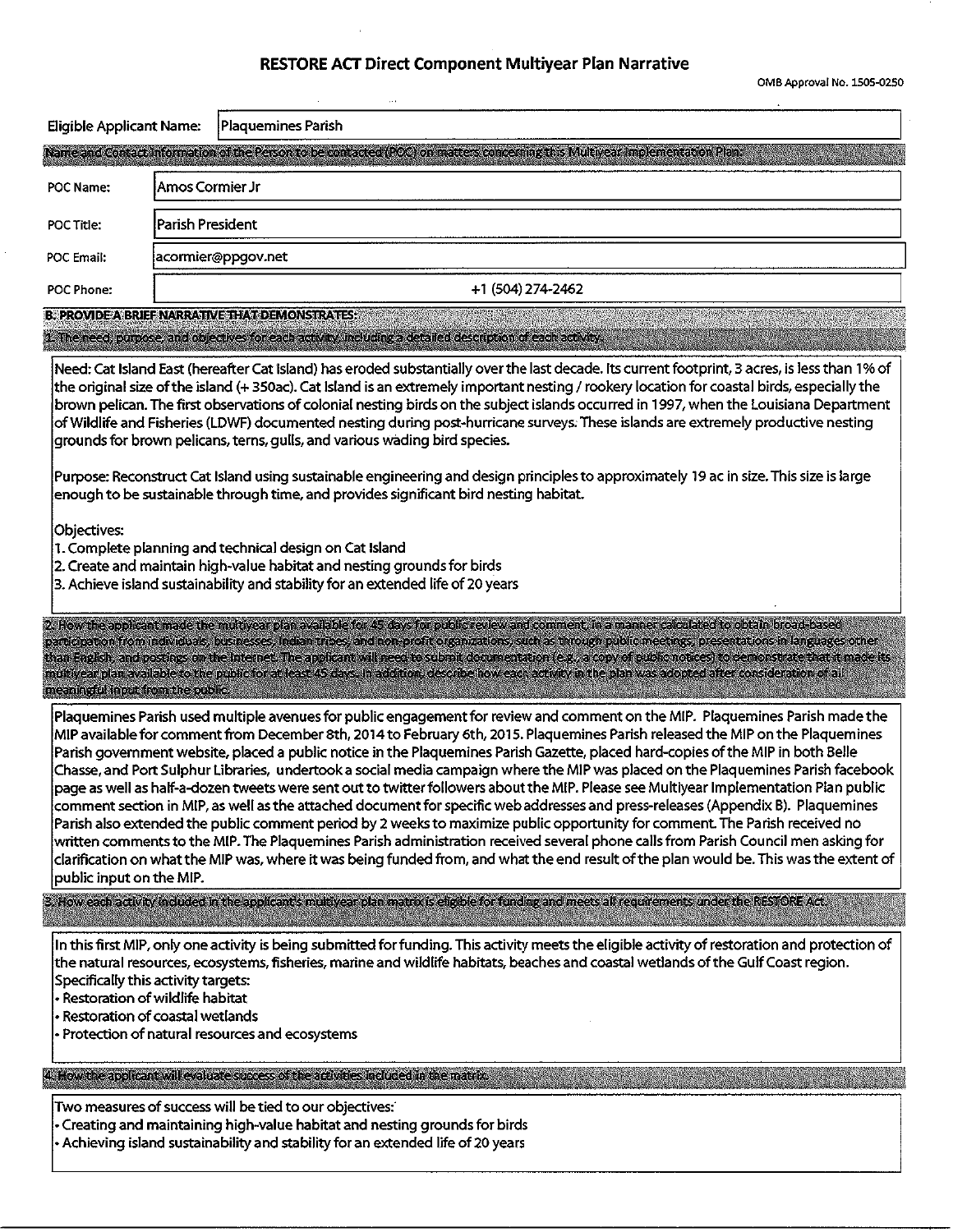# RESTORE ACT Direct Component Multiyear Plan Narrative

 $\ddot{\phantom{0}}$ 

OMB Approval No. 1505-0250

| Eligible Applicant Name:                                                                                                                                                                                                        | Plaquemines Parish                                                                                                                                                                                                                                                                                                                                                                                                                                                                                                                                                                                                                                                                                                                                                                                                                                                                                                                                                                                                                                                                                                                                                                                                                      |  |  |  |
|---------------------------------------------------------------------------------------------------------------------------------------------------------------------------------------------------------------------------------|-----------------------------------------------------------------------------------------------------------------------------------------------------------------------------------------------------------------------------------------------------------------------------------------------------------------------------------------------------------------------------------------------------------------------------------------------------------------------------------------------------------------------------------------------------------------------------------------------------------------------------------------------------------------------------------------------------------------------------------------------------------------------------------------------------------------------------------------------------------------------------------------------------------------------------------------------------------------------------------------------------------------------------------------------------------------------------------------------------------------------------------------------------------------------------------------------------------------------------------------|--|--|--|
|                                                                                                                                                                                                                                 | Name and Contact Information of the Person to be contacted (POC) on matters concerning this Multiyear Implementation Plant                                                                                                                                                                                                                                                                                                                                                                                                                                                                                                                                                                                                                                                                                                                                                                                                                                                                                                                                                                                                                                                                                                              |  |  |  |
| POC Name:                                                                                                                                                                                                                       | Amos Cormier Jr                                                                                                                                                                                                                                                                                                                                                                                                                                                                                                                                                                                                                                                                                                                                                                                                                                                                                                                                                                                                                                                                                                                                                                                                                         |  |  |  |
| POC Title:                                                                                                                                                                                                                      | Parish President                                                                                                                                                                                                                                                                                                                                                                                                                                                                                                                                                                                                                                                                                                                                                                                                                                                                                                                                                                                                                                                                                                                                                                                                                        |  |  |  |
| POC Email:                                                                                                                                                                                                                      | acormier@ppgov.net                                                                                                                                                                                                                                                                                                                                                                                                                                                                                                                                                                                                                                                                                                                                                                                                                                                                                                                                                                                                                                                                                                                                                                                                                      |  |  |  |
| POC Phone:                                                                                                                                                                                                                      | +1 (504) 274-2462                                                                                                                                                                                                                                                                                                                                                                                                                                                                                                                                                                                                                                                                                                                                                                                                                                                                                                                                                                                                                                                                                                                                                                                                                       |  |  |  |
|                                                                                                                                                                                                                                 | <b>B. PROVIDE A BRIEF NARRATIVE THAT DEMONSTRATES:</b>                                                                                                                                                                                                                                                                                                                                                                                                                                                                                                                                                                                                                                                                                                                                                                                                                                                                                                                                                                                                                                                                                                                                                                                  |  |  |  |
|                                                                                                                                                                                                                                 | 1. The need, purpose, and objectives for each activity, including a detailed description of each activity.                                                                                                                                                                                                                                                                                                                                                                                                                                                                                                                                                                                                                                                                                                                                                                                                                                                                                                                                                                                                                                                                                                                              |  |  |  |
|                                                                                                                                                                                                                                 | Need: Cat Island East (hereafter Cat Island) has eroded substantially over the last decade. Its current footprint, 3 acres, is less than 1% of<br>the original size of the island (+350ac). Cat Island is an extremely important nesting / rookery location for coastal birds, especially the<br>brown pelican. The first observations of colonial nesting birds on the subject islands occurred in 1997, when the Louisiana Department<br>of Wildlife and Fisheries (LDWF) documented nesting during post-hurricane surveys. These islands are extremely productive nesting<br>grounds for brown pelicans, terns, gulls, and various wading bird species.                                                                                                                                                                                                                                                                                                                                                                                                                                                                                                                                                                              |  |  |  |
| Purpose: Reconstruct Cat Island using sustainable engineering and design principles to approximately 19 ac in size. This size is large<br>enough to be sustainable through time, and provides significant bird nesting habitat. |                                                                                                                                                                                                                                                                                                                                                                                                                                                                                                                                                                                                                                                                                                                                                                                                                                                                                                                                                                                                                                                                                                                                                                                                                                         |  |  |  |
| Objectives:                                                                                                                                                                                                                     | 1. Complete planning and technical design on Cat Island<br>2. Create and maintain high-value habitat and nesting grounds for birds<br>3. Achieve island sustainability and stability for an extended life of 20 years                                                                                                                                                                                                                                                                                                                                                                                                                                                                                                                                                                                                                                                                                                                                                                                                                                                                                                                                                                                                                   |  |  |  |
| meaningful input from the public.                                                                                                                                                                                               | 2. How the applicant made the multiyear plan available for 45 days for public review and comment, in a manner calculated to obtain broad-based<br>participation from individuals, businesses, indian tribes, and non-profit organizations, such as through public meetings, presentations in languages other<br>than English, and postings on the internet. The applicant will need to submit documentation (e.g., a copy of public notices) to demonstrate that it made its<br>multivear plan available to the public for at least 45 days. In addition, describe how each activity in the plan was adopted after consideration of all                                                                                                                                                                                                                                                                                                                                                                                                                                                                                                                                                                                                 |  |  |  |
| public input on the MIP.                                                                                                                                                                                                        | Plaquemines Parish used multiple avenues for public engagement for review and comment on the MIP. Plaquemines Parish made the<br>MIP available for comment from December 8th, 2014 to February 6th, 2015. Plaquemines Parish released the MIP on the Plaquemines<br>Parish government website, placed a public notice in the Plaquemines Parish Gazette, placed hard-copies of the MIP in both Belle<br>Chasse, and Port Sulphur Libraries, undertook a social media campaign where the MIP was placed on the Plaquemines Parish facebook<br>page as well as half-a-dozen tweets were sent out to twitter followers about the MIP. Please see Multiyear Implementation Plan public<br>comment section in MIP, as well as the attached document for specific web addresses and press-releases (Appendix B). Plaquemines<br>Parish also extended the public comment period by 2 weeks to maximize public opportunity for comment. The Parish received no<br>written comments to the MIP. The Plaquemines Parish administration received several phone calls from Parish Council men asking for<br>clarification on what the MIP was, where it was being funded from, and what the end result of the plan would be. This was the extent of |  |  |  |
|                                                                                                                                                                                                                                 | 3. How each activity included in the applicant's multiyear plan matrix is eligible for funding and meets all requirements under the RESTORE Act.                                                                                                                                                                                                                                                                                                                                                                                                                                                                                                                                                                                                                                                                                                                                                                                                                                                                                                                                                                                                                                                                                        |  |  |  |
|                                                                                                                                                                                                                                 | In this first MIP, only one activity is being submitted for funding. This activity meets the eligible activity of restoration and protection of<br>the natural resources, ecosystems, fisheries, marine and wildlife habitats, beaches and coastal wetlands of the Gulf Coast region.<br>Specifically this activity targets:<br>· Restoration of wildlife habitat<br>· Restoration of coastal wetlands<br>- Protection of natural resources and ecosystems                                                                                                                                                                                                                                                                                                                                                                                                                                                                                                                                                                                                                                                                                                                                                                              |  |  |  |
|                                                                                                                                                                                                                                 | 4. How the applicant will evaluate success of the activities included in the matrix.                                                                                                                                                                                                                                                                                                                                                                                                                                                                                                                                                                                                                                                                                                                                                                                                                                                                                                                                                                                                                                                                                                                                                    |  |  |  |
|                                                                                                                                                                                                                                 | Two measures of success will be tied to our objectives:<br>• Creating and maintaining high-value habitat and nesting grounds for birds<br>• Achieving island sustainability and stability for an extended life of 20 years                                                                                                                                                                                                                                                                                                                                                                                                                                                                                                                                                                                                                                                                                                                                                                                                                                                                                                                                                                                                              |  |  |  |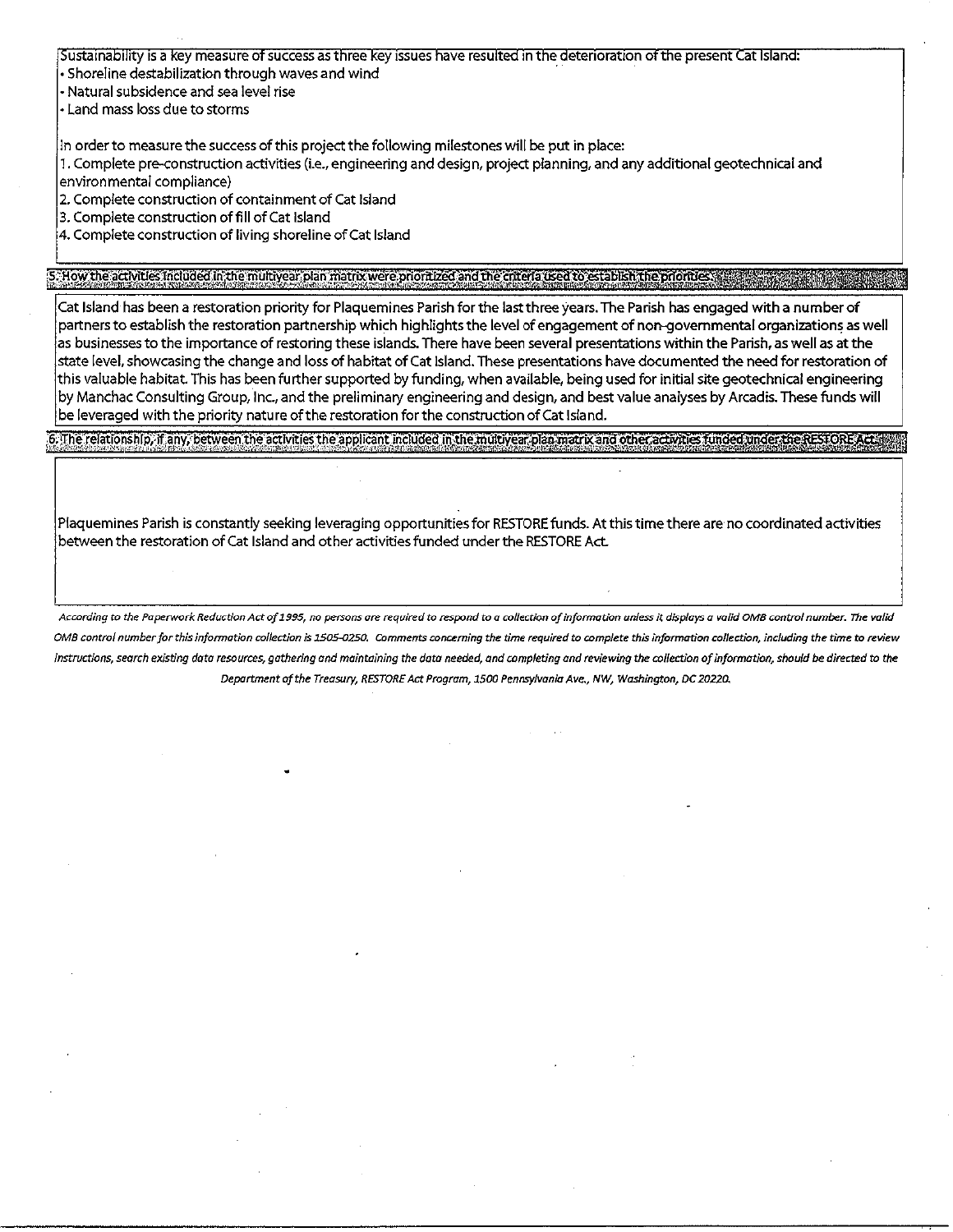Sustainability is a key measure of success as three key issues have resulted in the deterioration of the present Cat Island:

 $\cdot$  Shoreline destabilization through waves and wind

- Natural subsidence and sea level rise

• Land mass loss due to storms

In order to measure the success of this project the following milestones will be put in place:

1. Complete pre-construction activities (i.e., engineering and design, project planning, and any additional geotechnical and environmental compliance)

2. Complete construction of containment of Cat Island

3. Complete construction of fill of Cat Island

 $\left|$ 4. Complete construction of living shoreline of Cat Island

### 5. How the activities included in the multiyear plan matrix were prioritized and the criteria used to establish the priorities.

Cat Island has been a restoration priority for Plaquemines Parish for the last three years. The Parish has engaged with a number of partners to establish the restoration partnership which highlights the level of engagement of non-governmental organizations as well as businesses to the importance of restoring these islands. There have been several presentations within the Parish, as well as at the state level, showcasing the change and loss of habitat of Cat Island. These presentations have documented the need for restoration of this valuable habitat. This has been further supported by funding, when available, being used for initial site geotechnical engineering by Manchac Consulting Group, Inc., and the preliminary engineering and design, and best value analyses by Arcadis. These funds will be leveraged with the priority nature of the restoration for the construction of Cat Island.

#### 6. The relationship, if any, between the activities the applicant included in the multivear plan matrix and other activities funded under the RESTORE

Plaquemines Parish is constantly seeking leveraging opportunities for RESTORE funds. At this time there are no coordinated activities between the restoration of Cat Island and other activities funded under the RESTORE Act.

According to the Paperwork Reduction Act of 1995, no persons are required to respond to a collection of information unless it displays a valid OMB control number. The valid OMB control number for this information collection is 1505-0250. Comments concerning the time required to complete this information collection, including the time to review Instructions, search existing data resources, gathering and maintaining the data needed, and completing and reviewing the collection of information, should be directed to the Department of the Treasury, RESTORE Act Program, 1500 Pennsylvania Ave., NW, Washington, DC 20220.